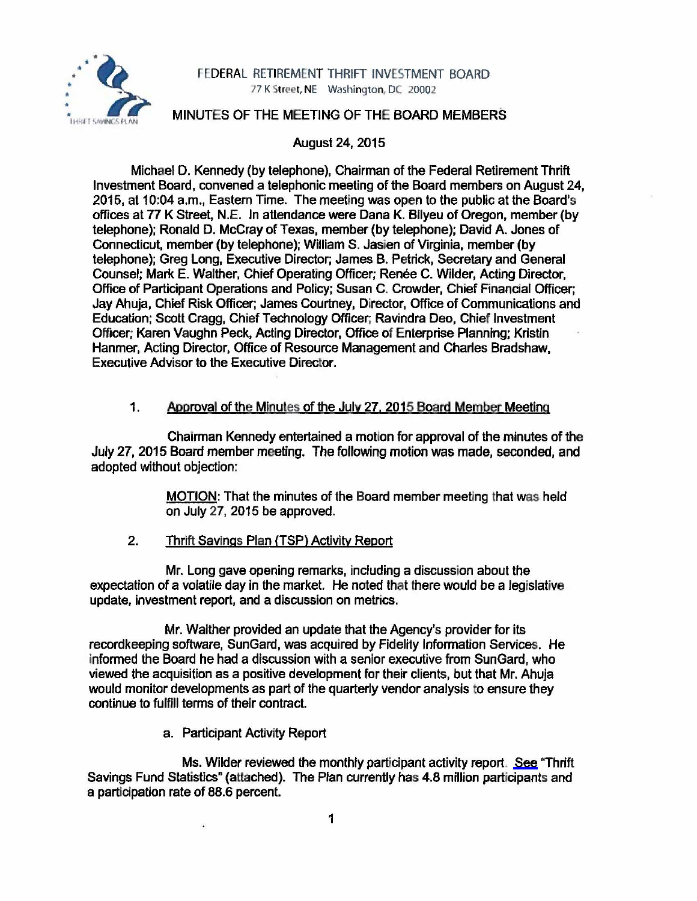

# FEDERAL RETIREMENT THRIFT INVESTMENT BOARD 77 K Street, NE Washington, DC 20002

## MINUTES OF THE MEETING OF THE BOARD MEMBERS

# August 24, 2015

Michael D. Kennedy (by telephone), Chairman of the Federal Retirement Thrift Investment Board, convened a telephonic meeting of the Board members on August 24, 2015, at 10:04 a.m., Eastern Time. The meeting was open to the public at the Board's offices at 77 K Street, N.E. In attendance were Dana K. Biiyeu of Oregon, member (by telephone); Ronald D. McCray of Texas, member (by telephone); David A. Jones of Connecticut, member (by telephone); William S. Jasien of Virginia, member (by telephone); Greg Long, Executive Director; James B. Petrick, Secretary and General Counsel; Mark E. Walther, Chief Operating Officer; Renee C. Wilder, Acting Director, Office of Participant Operations and Policy; Susan C. Crowder, Chief Financial Officer; Jay Ahuja, Chief Risk Officer; James Courtney, Director, Office of Communications and Education; Scott Cragg, Chief Technology Officer; Ravindra Deo, Chief Investment Officer; Karen Vaughn Peck, Acting Director, Office of Enterprise Planning; Kristin Hanmer, Acting Director, Office of Resource Management and Charles Bradshaw, Executive Advisor to the Executive Director.

### 1. Approval of the Minutes of the July 27, 2015 Board Member Meeting

Chairman Kennedy entertained a motion for approval of the minutes of the July 27, 2015 Board member meeting. The following motion was made, seconded, and adopted without objection:

> MOTION: That the minutes of the Board member meeting that was held on July 27, 2015 be approved.

### 2. Thrift Savings Plan (TSP) Activity Report

Mr. Long gave opening remarks, including a discussion about the expectation of a volatile day in the market. He noted that there would be a legislative update, investment report, and a discussion on metrics.

Mr. Walther provided an update that the Agency's provider for its recordkeeping software, SunGard, was acquired by Fidelity Information Services. He informed the Board he had a discussion with a senior executive from SunGard, who viewed the acquisition as a positive development for their clients, but that Mr. Ahuja would monitor developments as part of the quarterly vendor analysis to ensure they continue to fulfill terms of their contract.

a. Participant Activity Report

 $\mathcal{L}$ 

Ms. Wilder reviewed the monthly participant activity report. [See](http://www.frtib.gov/pdf/minutes/MM-2015Aug-Att1.pdf) "Thrift Savings Fund Statistics" (attached). The Plan currently has 4.8 million participants and a participation rate of 88.6 percent.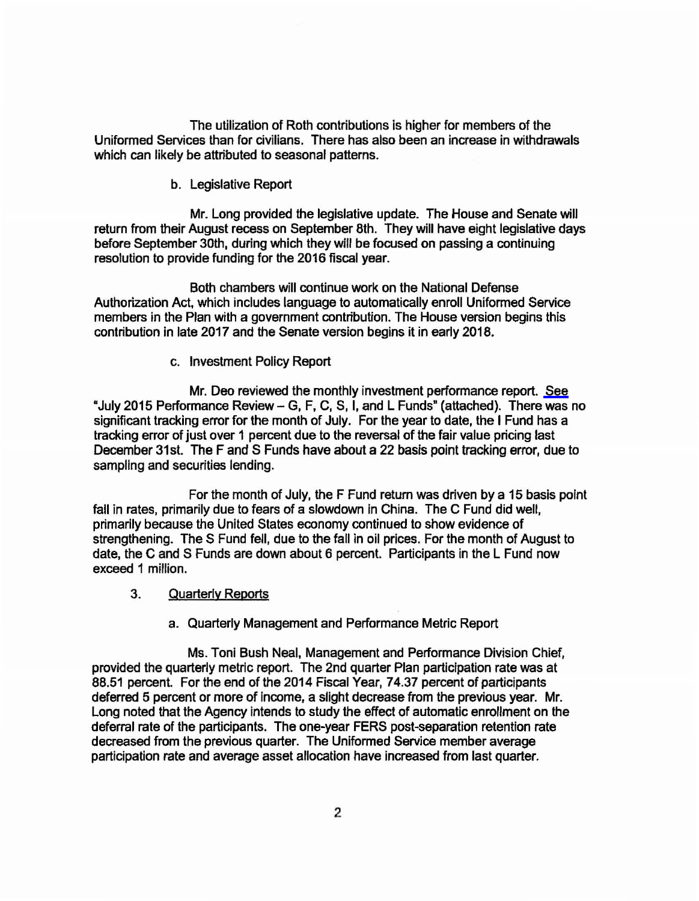The utilization of Roth contributions is higher for members of the Uniformed Services than for civilians. There has also been an increase in withdrawals which can likely be attributed to seasonal patterns.

b. Legislative Report

Mr. Long provided the legislative update. The House and Senate will return from their August recess on September 8th. They will have eight legislative days before September 30th, during which they will be focused on passing a continuing resolution to provide funding for the 2016 fiscal year.

Both chambers will continue work on the National Defense Authorization Act, which includes language to automatically enroll Uniformed Service members in the Plan with a government contribution. The House version begins this contribution in late 2017 and the Senate version begins it in early 2018.

c. Investment Policy Report

Mr. Deo reviewed the monthly investment performance report. [See](http://www.frtib.gov/pdf/minutes/MM-2015Aug-Att2.pdf)  "July 2015 Performance Review- G, F, C, S, I, and L Funds" (attached). There was no significant tracking error for the month of July. For the year to date, the I Fund has a tracking error of just over 1 percent due to the reversal of the fair value pricing last December 31st. The F and S Funds have about a 22 basis point tracking error, due to sampling and securities lending.

For the month of July, the F Fund return was driven by a 15 basis point fall in rates, primarily due to fears of a slowdown in China. The C Fund did well, primarily because the United States economy continued to show evidence of strengthening. The S Fund fell, due to the fall in oil prices. For the month of August to date, the C and S Funds are down about 6 percent. Participants in the L Fund now exceed 1 million.

- 3. Quarterly Reports
	- a. Quarterly Management and Performance Metric Report

Ms. Toni Bush Neal, Management and Performance Division Chief, provided the quarterly metric report. The 2nd quarter Plan participation rate was at 88.51 percent. For the end of the 2014 Fiscal Year, 74.37 percent of participants deferred 5 percent or more of income, a slight decrease from the previous year. Mr. Long noted that the Agency intends to study the effect of automatic enrollment on the deferral rate of the participants. The one-year FERS post-separation retention rate decreased from the previous quarter. The Uniformed Service member average participation rate and average asset allocation have increased from last quarter.